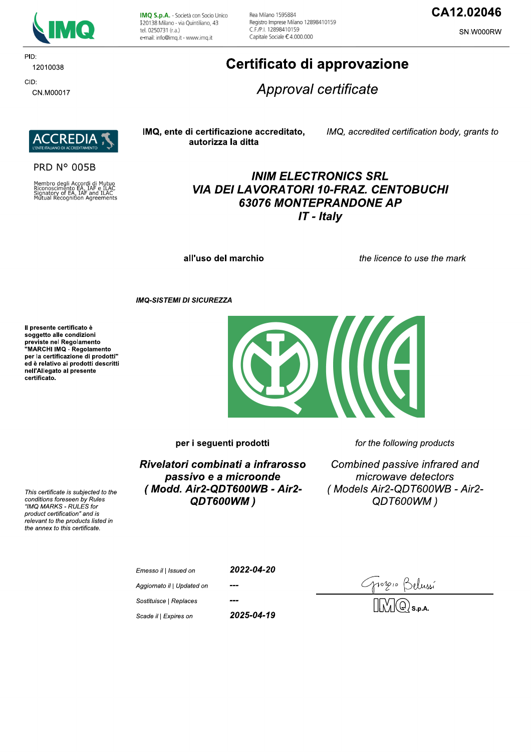

PID: 12010038 CID:

CN.M00017

IMQ S.p.A. - Società con Socio Unico I 20138 Milano - via Quintiliano, 43 tel. 0250731 (r.a.) e-mail: info@imq.it - www.imq.it

Rea Milano 1595884 Registro Imprese Milano 12898410159 C F /P | 12898410159 Capitale Sociale €4.000.000

## CA12.02046

SN.W000RW

# Certificato di approvazione

Approval certificate



#### **PRD N° 005B**

Membro degli Accordi di Mutuo<br>Riconoscimento EA, IAF e ILAC<br>Signatory of EA, IAF and ILAC<br>Mutual Recognition Agreements

#### IMQ, ente di certificazione accreditato, autorizza la ditta

IMQ, accredited certification body, grants to

## **INIM ELECTRONICS SRL VIA DEI LAVORATORI 10-FRAZ. CENTOBUCHI 63076 MONTEPRANDONE AP**  $IT$  - Italy

all'uso del marchio

the licence to use the mark

**IMQ-SISTEMI DI SICUREZZA** 

Il presente certificato è soggetto alle condizioni Soggetto and containmento<br>previste nel Regolamento<br>"MARCHI IMQ - Regolamento per la certificazione di prodotti" ed è relativo ai prodotti descritti nell'Allegato al presente certificato.

This certificate is subjected to the conditions foreseen by Rules

"IMQ MARKS - RULES for product certification" and is relevant to the products listed in the annex to this certificate.



for the following products

 $\overline{\mathbf{A}}$ 

Rivelatori combinati a infrarosso passivo e a microonde (Modd. Air2-QDT600WB - Air2-QDT600WM)

Combined passive infrared and microwave detectors (Models Air2-QDT600WB - Air2-QDT600WM)

2022-04-20 Emesso il | Issued on Aggiornato il | Updated on Sostituisce | Replaces 2025-04-19 Scade il | Expires on

Gropio Belussí<br>MMQs.p.a.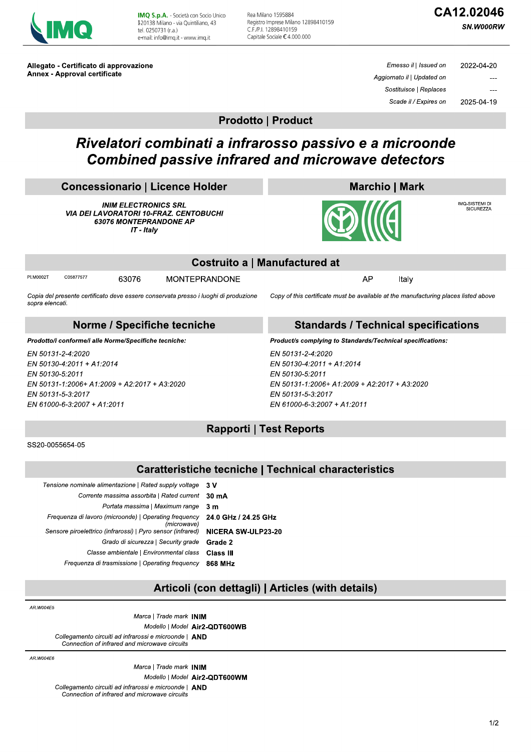

IMQ S.p.A. - Società con Socio Unico I 20138 Milano - via Quintiliano, 43 tel. 0250731 (r.a.) e-mail: info@imq.it - www.imq.it

Rea Milano 1595884 Registro Imprese Milano 12898410159 C.F./P.I. 12898410159 Capitale Sociale €4.000.000

# CA12.02046

SN.W000RW

Allegato - Certificato di approvazione Annex - Approval certificate

| 2022-04-20 | Emesso il   Issued on      |
|------------|----------------------------|
|            | Aggiornato il   Updated on |
|            | Sostituisce   Replaces     |
| 2025-04-19 | Scade il / Expires on      |

**Prodotto | Product** 

# Rivelatori combinati a infrarosso passivo e a microonde **Combined passive infrared and microwave detectors**

| <b>Concessionario   Licence Holder</b> |  |
|----------------------------------------|--|
|                                        |  |

**INIM ELECTRONICS SRL VIA DEI LAVORATORI 10-FRAZ. CENTOBUCHI** 63076 MONTEPRANDONE AP IT - Italy



IMQ-SISTEMI DI<br>SICUREZZA

|                 |                                                       |       |                                                                                     | Costruito a   Manufactured at                                                       |       |  |
|-----------------|-------------------------------------------------------|-------|-------------------------------------------------------------------------------------|-------------------------------------------------------------------------------------|-------|--|
| PI.M0002T       | C05877577                                             | 63076 | <b>MONTEPRANDONE</b>                                                                | AP                                                                                  | Italy |  |
| sopra elencati. |                                                       |       | Copia del presente certificato deve essere conservata presso i luoghi di produzione | Copy of this certificate must be available at the manufacturing places listed above |       |  |
|                 |                                                       |       | Norme / Specifiche tecniche                                                         | <b>Standards / Technical specifications</b>                                         |       |  |
|                 | Prodotto/i conforme/i alle Norme/Specifiche tecniche: |       |                                                                                     | Product/s complying to Standards/Technical specifications:                          |       |  |
|                 | EN 50131-2-4:2020                                     |       |                                                                                     | EN 50131-2-4:2020                                                                   |       |  |
|                 | EN 50130-4:2011 + A1:2014                             |       |                                                                                     | EN 50130-4:2011 + A1:2014                                                           |       |  |
| EN 50130-5:2011 |                                                       |       |                                                                                     | EN 50130-5:2011                                                                     |       |  |
|                 | EN 50131-1:2006+ A1:2009 + A2:2017 + A3:2020          |       |                                                                                     | EN 50131-1:2006+ A1:2009 + A2:2017 + A3:2020                                        |       |  |
|                 | <b>EN 50131-5-3:2017</b>                              |       |                                                                                     | FN 50131-5-3 2017                                                                   |       |  |

### **Rapporti | Test Reports**

EN 61000-6-3:2007 + A1:2011

SS20-0055654-05

EN 61000-6-3:2007 + A1:2011

### **Caratteristiche tecniche | Technical characteristics**

| 3 V                       | Tensione nominale alimentazione   Rated supply voltage               |
|---------------------------|----------------------------------------------------------------------|
| $30 \text{ mA}$           | Corrente massima assorbita   Rated current                           |
| 3m                        | Portata massima   Maximum range                                      |
| 24.0 GHz / 24.25 GHz      | Frequenza di lavoro (microonde)   Operating frequency<br>(microwave) |
| <b>NICERA SW-ULP23-20</b> | Sensore piroelettrico (infrarossi)   Pyro sensor (infrared)          |
| Grade 2                   | Grado di sicurezza   Security grade                                  |
| Class III                 | Classe ambientale   Environmental class                              |
| 868 MHz                   | Frequenza di trasmissione   Operating frequency                      |

### Articoli (con dettagli) | Articles (with details)

AR.W004E5

Marca | Trade mark INIM Modello | Model Air2-QDT600WB Collegamento circuiti ad infrarossi e microonde | AND Connection of infrared and microwave circuits

AR W004F6

Marca | Trade mark INIM Modello | Model Air2-QDT600WM Collegamento circuiti ad infrarossi e microonde | AND Connection of infrared and microwave circuits